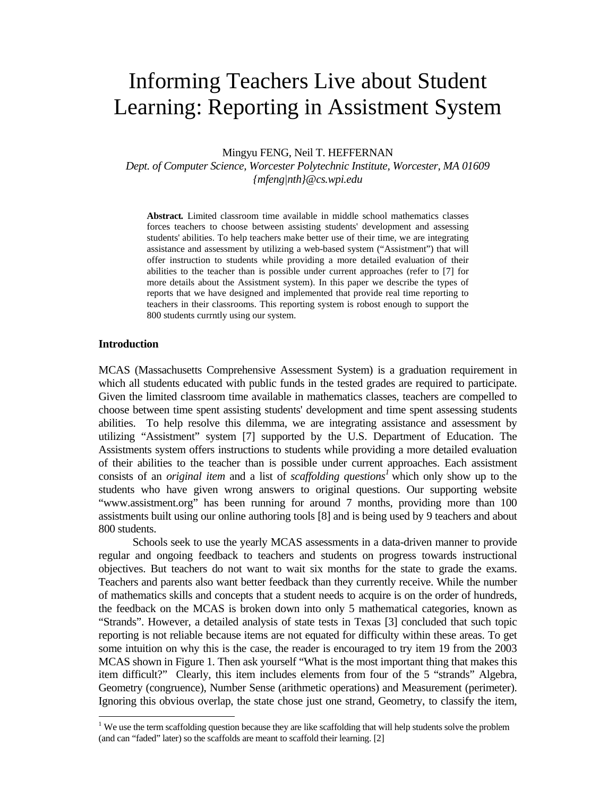# Informing Teachers Live about Student Learning: Reporting in Assistment System

Mingyu FENG, Neil T. HEFFERNAN

*Dept. of Computer Science, Worcester Polytechnic Institute, Worcester, MA 01609 {mfeng|nth}@cs.wpi.edu* 

**Abstract***.* Limited classroom time available in middle school mathematics classes forces teachers to choose between assisting students' development and assessing students' abilities. To help teachers make better use of their time, we are integrating assistance and assessment by utilizing a web-based system ("Assistment") that will offer instruction to students while providing a more detailed evaluation of their abilities to the teacher than is possible under current approaches (refer to [7] for more details about the Assistment system). In this paper we describe the types of reports that we have designed and implemented that provide real time reporting to teachers in their classrooms. This reporting system is robost enough to support the 800 students currntly using our system.

# **Introduction**

÷

MCAS (Massachusetts Comprehensive Assessment System) is a graduation requirement in which all students educated with public funds in the tested grades are required to participate. Given the limited classroom time available in mathematics classes, teachers are compelled to choose between time spent assisting students' development and time spent assessing students abilities. To help resolve this dilemma, we are integrating assistance and assessment by utilizing "Assistment" system [7] supported by the U.S. Department of Education. The Assistments system offers instructions to students while providing a more detailed evaluation of their abilities to the teacher than is possible under current approaches. Each assistment consists of an *original item* and a list of *scaffolding questions<sup>1</sup>* which only show up to the students who have given wrong answers to original questions. Our supporting website "www.assistment.org" has been running for around 7 months, providing more than 100 assistments built using our online authoring tools [8] and is being used by 9 teachers and about 800 students.

 Schools seek to use the yearly MCAS assessments in a data-driven manner to provide regular and ongoing feedback to teachers and students on progress towards instructional objectives. But teachers do not want to wait six months for the state to grade the exams. Teachers and parents also want better feedback than they currently receive. While the number of mathematics skills and concepts that a student needs to acquire is on the order of hundreds, the feedback on the MCAS is broken down into only 5 mathematical categories, known as "Strands". However, a detailed analysis of state tests in Texas [3] concluded that such topic reporting is not reliable because items are not equated for difficulty within these areas. To get some intuition on why this is the case, the reader is encouraged to try item 19 from the 2003 MCAS shown in Figure 1. Then ask yourself "What is the most important thing that makes this item difficult?" Clearly, this item includes elements from four of the 5 "strands" Algebra, Geometry (congruence), Number Sense (arithmetic operations) and Measurement (perimeter). Ignoring this obvious overlap, the state chose just one strand, Geometry, to classify the item,

 $1$  We use the term scaffolding question because they are like scaffolding that will help students solve the problem (and can "faded" later) so the scaffolds are meant to scaffold their learning. [2]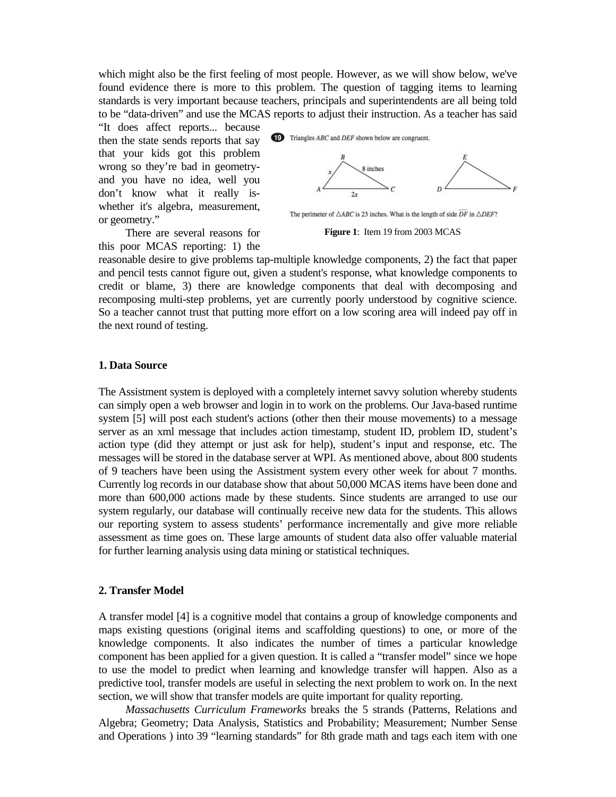which might also be the first feeling of most people. However, as we will show below, we've found evidence there is more to this problem. The question of tagging items to learning standards is very important because teachers, principals and superintendents are all being told to be "data-driven" and use the MCAS reports to adjust their instruction. As a teacher has said

"It does affect reports... because then the state sends reports that say that your kids got this problem wrong so they're bad in geometryand you have no idea, well you don't know what it really iswhether it's algebra, measurement, or geometry."

 There are several reasons for this poor MCAS reporting: 1) the





The perimeter of  $\triangle ABC$  is 23 inches. What is the length of side  $\overline{DF}$  in  $\triangle DEF$ ?

**Figure 1**: Item 19 from 2003 MCAS

reasonable desire to give problems tap-multiple knowledge components, 2) the fact that paper and pencil tests cannot figure out, given a student's response, what knowledge components to credit or blame, 3) there are knowledge components that deal with decomposing and recomposing multi-step problems, yet are currently poorly understood by cognitive science. So a teacher cannot trust that putting more effort on a low scoring area will indeed pay off in the next round of testing.

# **1. Data Source**

The Assistment system is deployed with a completely internet savvy solution whereby students can simply open a web browser and login in to work on the problems. Our Java-based runtime system [5] will post each student's actions (other then their mouse movements) to a message server as an xml message that includes action timestamp, student ID, problem ID, student's action type (did they attempt or just ask for help), student's input and response, etc. The messages will be stored in the database server at WPI. As mentioned above, about 800 students of 9 teachers have been using the Assistment system every other week for about 7 months. Currently log records in our database show that about 50,000 MCAS items have been done and more than 600,000 actions made by these students. Since students are arranged to use our system regularly, our database will continually receive new data for the students. This allows our reporting system to assess students' performance incrementally and give more reliable assessment as time goes on. These large amounts of student data also offer valuable material for further learning analysis using data mining or statistical techniques.

#### **2. Transfer Model**

A transfer model [4] is a cognitive model that contains a group of knowledge components and maps existing questions (original items and scaffolding questions) to one, or more of the knowledge components. It also indicates the number of times a particular knowledge component has been applied for a given question. It is called a "transfer model" since we hope to use the model to predict when learning and knowledge transfer will happen. Also as a predictive tool, transfer models are useful in selecting the next problem to work on. In the next section, we will show that transfer models are quite important for quality reporting.

*Massachusetts Curriculum Frameworks* breaks the 5 strands (Patterns, Relations and Algebra; Geometry; Data Analysis, Statistics and Probability; Measurement; Number Sense and Operations ) into 39 "learning standards" for 8th grade math and tags each item with one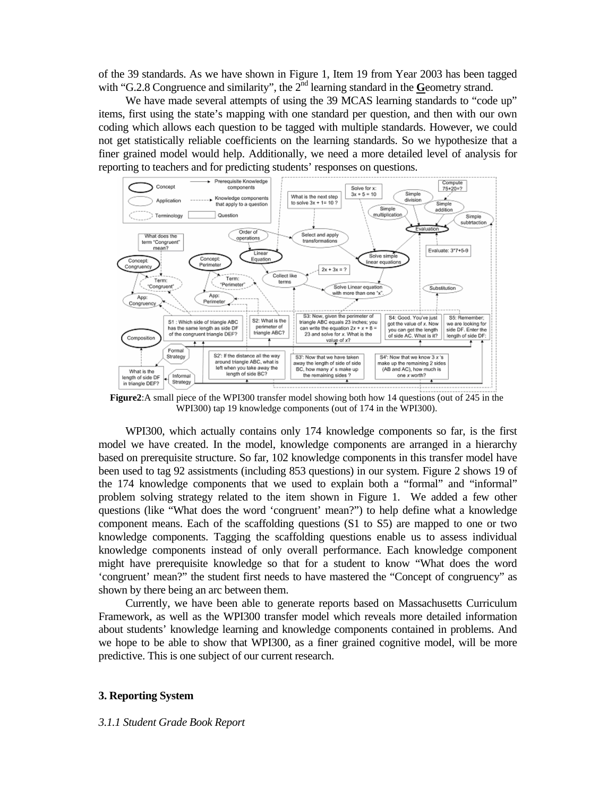of the 39 standards. As we have shown in Figure 1, Item 19 from Year 2003 has been tagged with "G.2.8 Congruence and similarity", the 2<sup>nd</sup> learning standard in the Geometry strand.

We have made several attempts of using the 39 MCAS learning standards to "code up" items, first using the state's mapping with one standard per question, and then with our own coding which allows each question to be tagged with multiple standards. However, we could not get statistically reliable coefficients on the learning standards. So we hypothesize that a finer grained model would help. Additionally, we need a more detailed level of analysis for reporting to teachers and for predicting students' responses on questions.



**Figure2**:A small piece of the WPI300 transfer model showing both how 14 questions (out of 245 in the WPI300) tap 19 knowledge components (out of 174 in the WPI300).

 WPI300, which actually contains only 174 knowledge components so far, is the first model we have created. In the model, knowledge components are arranged in a hierarchy based on prerequisite structure. So far, 102 knowledge components in this transfer model have been used to tag 92 assistments (including 853 questions) in our system. Figure 2 shows 19 of the 174 knowledge components that we used to explain both a "formal" and "informal" problem solving strategy related to the item shown in Figure 1. We added a few other questions (like "What does the word 'congruent' mean?") to help define what a knowledge component means. Each of the scaffolding questions (S1 to S5) are mapped to one or two knowledge components. Tagging the scaffolding questions enable us to assess individual knowledge components instead of only overall performance. Each knowledge component might have prerequisite knowledge so that for a student to know "What does the word 'congruent' mean?" the student first needs to have mastered the "Concept of congruency" as shown by there being an arc between them.

 Currently, we have been able to generate reports based on Massachusetts Curriculum Framework, as well as the WPI300 transfer model which reveals more detailed information about students' knowledge learning and knowledge components contained in problems. And we hope to be able to show that WPI300, as a finer grained cognitive model, will be more predictive. This is one subject of our current research.

# **3. Reporting System**

#### *3.1.1 Student Grade Book Report*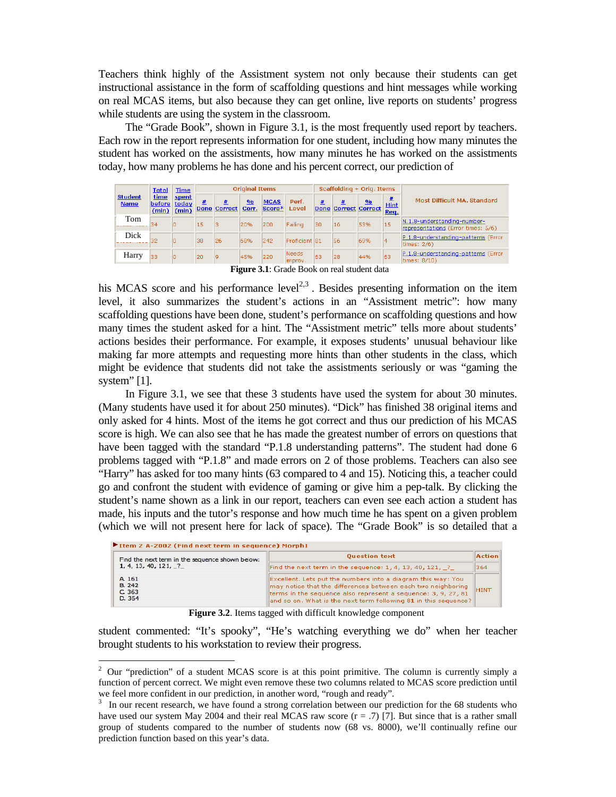Teachers think highly of the Assistment system not only because their students can get instructional assistance in the form of scaffolding questions and hint messages while working on real MCAS items, but also because they can get online, live reports on students' progress while students are using the system in the classroom.

 The "Grade Book", shown in Figure 3.1, is the most frequently used report by teachers. Each row in the report represents information for one student, including how many minutes the student has worked on the assistments, how many minutes he has worked on the assistments today, how many problems he has done and his percent correct, our prediction of

|                               | <b>Total</b> | <b>Time</b>                              |    |              | <b>Original Items</b> |                             |                   |     | Scaffolding + Orig. Items   |               |                     |                                                                   |
|-------------------------------|--------------|------------------------------------------|----|--------------|-----------------------|-----------------------------|-------------------|-----|-----------------------------|---------------|---------------------|-------------------------------------------------------------------|
| <b>Student</b><br><b>Name</b> | time         | spent<br>before today<br>$(min)$ $(min)$ | 豊  | Done Correct | $\frac{0}{0}$         | <b>MCAS</b><br>Corr. Score* | Perf.<br>Level    | 亜   | <b>Done Correct Correct</b> | $\frac{9}{6}$ | <b>Hint</b><br>Req. | Most Difficult MA, Standard                                       |
| Tom                           | 34           |                                          | 15 |              | 20%                   | 200                         | Failing           | 130 | 16                          | 53%           | 15                  | N.1.8-understanding-number-<br>representations (Error times: 5/6) |
| Dick                          | 32           | In                                       | 38 | 26           | 68%                   | 242                         | Proficient 81     |     | 56                          | 69%           |                     | P.1.8-understanding-patterns (Error<br>times: $2/6$ )             |
| Harry                         | 33           |                                          | 20 | ۱q           | 45%                   | 220                         | Needs<br>limprov. | 63  | 28                          | 44%           | 63                  | P.1.8-understanding-patterns (Error<br>times: 8/10)               |

**Figure 3.1**: Grade Book on real student data

his MCAS score and his performance  $level^{2,3}$ . Besides presenting information on the item level, it also summarizes the student's actions in an "Assistment metric": how many scaffolding questions have been done, student's performance on scaffolding questions and how many times the student asked for a hint. The "Assistment metric" tells more about students' actions besides their performance. For example, it exposes students' unusual behaviour like making far more attempts and requesting more hints than other students in the class, which might be evidence that students did not take the assistments seriously or was "gaming the system" [1].

 In Figure 3.1, we see that these 3 students have used the system for about 30 minutes. (Many students have used it for about 250 minutes). "Dick" has finished 38 original items and only asked for 4 hints. Most of the items he got correct and thus our prediction of his MCAS score is high. We can also see that he has made the greatest number of errors on questions that have been tagged with the standard "P.1.8 understanding patterns". The student had done 6 problems tagged with "P.1.8" and made errors on 2 of those problems. Teachers can also see "Harry" has asked for too many hints (63 compared to 4 and 15). Noticing this, a teacher could go and confront the student with evidence of gaming or give him a pep-talk. By clicking the student's name shown as a link in our report, teachers can even see each action a student has made, his inputs and the tutor's response and how much time he has spent on a given problem (which we will not present here for lack of space). The "Grade Book" is so detailed that a

| Item 2 A-2002 (Find next term in sequence) Morph1 |  |
|---------------------------------------------------|--|

÷

| Find the next term in the sequence shown below: | <b>Ouestion text</b>                                                                                                                                                                                                                                             | Action      |
|-------------------------------------------------|------------------------------------------------------------------------------------------------------------------------------------------------------------------------------------------------------------------------------------------------------------------|-------------|
| 1, 4, 13, 40, 121, 2                            | Find the next term in the sequence: 1, 4, 13, 40, 121, $\frac{1}{2}$                                                                                                                                                                                             | 364         |
| A 161<br>B. 242<br>C.363<br>D. 354              | Excellent. Lets put the numbers into a diagram this way: You<br>may notice that the differences between each two neighboring<br>terms in the sequence also represent a sequence: 3, 9, 27, 81<br>and so on. What is the next term following 81 in this sequence? | <b>HINT</b> |

**Figure 3.2**. Items tagged with difficult knowledge component

student commented: "It's spooky", "He's watching everything we do" when her teacher brought students to his workstation to review their progress.

 $2$  Our "prediction" of a student MCAS score is at this point primitive. The column is currently simply a function of percent correct. We might even remove these two columns related to MCAS score prediction until we feel more confident in our prediction, in another word, "rough and ready".<br> $\frac{3}{2}$ . In our precent research, we have found a strong correlation between our pre-

In our recent research, we have found a strong correlation between our prediction for the 68 students who have used our system May 2004 and their real MCAS raw score  $(r = .7)$  [7]. But since that is a rather small group of students compared to the number of students now (68 vs. 8000), we'll continually refine our prediction function based on this year's data.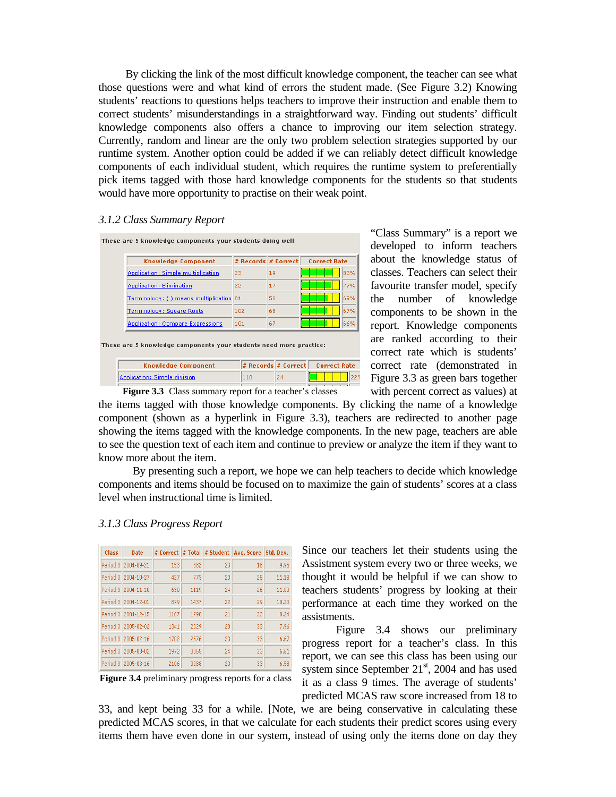By clicking the link of the most difficult knowledge component, the teacher can see what those questions were and what kind of errors the student made. (See Figure 3.2) Knowing students' reactions to questions helps teachers to improve their instruction and enable them to correct students' misunderstandings in a straightforward way. Finding out students' difficult knowledge components also offers a chance to improving our item selection strategy. Currently, random and linear are the only two problem selection strategies supported by our runtime system. Another option could be added if we can reliably detect difficult knowledge components of each individual student, which requires the runtime system to preferentially pick items tagged with those hard knowledge components for the students so that students would have more opportunity to practise on their weak point.

#### *3.1.2 Class Summary Report*

| <b>Knowledge Component</b>              | # Records # Correct |    | <b>Correct Rate</b> |
|-----------------------------------------|---------------------|----|---------------------|
| Application: Simple multiplication      | 23                  | 19 | 83%                 |
| Application: Elimination                | 22                  | 17 | 77%                 |
| Terminology: () means multiplication 81 |                     | 56 | 69%                 |
| Terminology: Square Roots               | 102                 | 68 | 67%                 |
| Application: Compare Expressions        | 101                 | 67 | 66%                 |

These are 5 knowledge components your students need more practice:

| <b>Knowledge Component</b>    |    | $\#$ Records $\#$ Correct Correct Rate |
|-------------------------------|----|----------------------------------------|
| Application: Simple division. | 24 |                                        |
|                               |    |                                        |

"Class Summary" is a report we developed to inform teachers about the knowledge status of classes. Teachers can select their favourite transfer model, specify the number of knowledge components to be shown in the report. Knowledge components are ranked according to their correct rate which is students' correct rate (demonstrated in Figure 3.3 as green bars together with percent correct as values) at

**Figure 3.3** Class summary report for a teacher's classes the items tagged with those knowledge components. By clicking the name of a knowledge component (shown as a hyperlink in Figure 3.3), teachers are redirected to another page showing the items tagged with the knowledge components. In the new page, teachers are able to see the question text of each item and continue to preview or analyze the item if they want to know more about the item.

 By presenting such a report, we hope we can help teachers to decide which knowledge components and items should be focused on to maximize the gain of students' scores at a class level when instructional time is limited.

| Class    | Date       | # Correct | # Total | # Student | Avg. Score | Std. Dev. |
|----------|------------|-----------|---------|-----------|------------|-----------|
| Period 3 | 2004-09-21 | 153       | 382     | 23        | 18         | 9.95      |
| Period 3 | 2004-10-27 | 427       | 773     | 23        | 25         | 11.18     |
| Period 3 | 2004-11-10 | 630       | 1119    | 24        | 26         | 11.03     |
| Period 3 | 2004-12-01 | 879       | 1437    | 22        | 29         | 10.20     |
| Period 3 | 2004-12-15 | 1167      | 1790    | 21        | 32         | 8.24      |
| Period 3 | 2005-02-02 | 1341      | 2029    | 20        | 33         | 7.96      |
| Period 3 | 2005-02-16 | 1702      | 2576    | 23        | 33         | 6.67      |
| Period 3 | 2005-03-02 | 1972      | 3065    | 24        | 33         | 6.61      |
| Period 3 | 2005-03-16 | 2106      | 3288    | 23        | 33         | 6.58      |

### *3.1.3 Class Progress Report*

**Figure 3.4** preliminary progress reports for a class

Since our teachers let their students using the Assistment system every two or three weeks, we thought it would be helpful if we can show to teachers students' progress by looking at their performance at each time they worked on the assistments.

 Figure 3.4 shows our preliminary progress report for a teacher's class. In this report, we can see this class has been using our system since September  $21<sup>st</sup>$ , 2004 and has used it as a class 9 times. The average of students' predicted MCAS raw score increased from 18 to

33, and kept being 33 for a while. [Note, we are being conservative in calculating these predicted MCAS scores, in that we calculate for each students their predict scores using every items them have even done in our system, instead of using only the items done on day they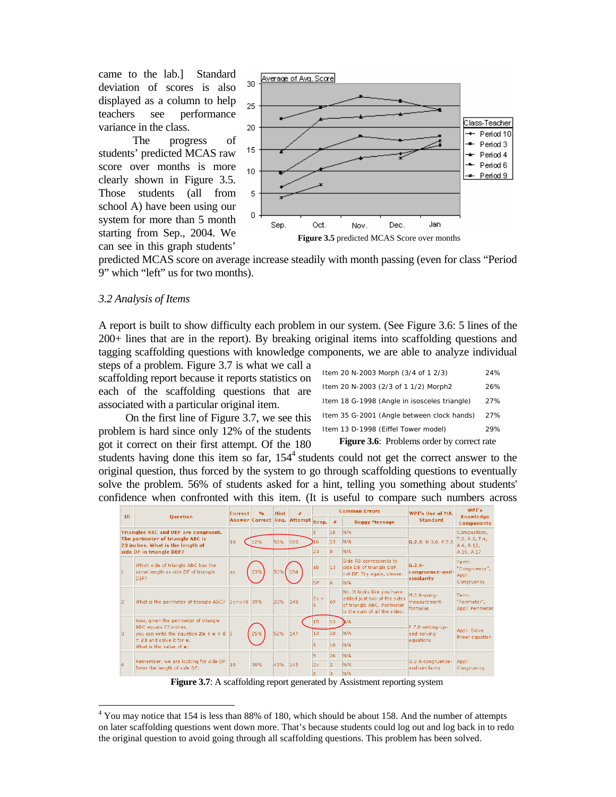came to the lab.] Standard deviation of scores is also displayed as a column to help teachers see performance variance in the class.

 The progress of students' predicted MCAS raw score over months is more clearly shown in Figure 3.5. Those students (all from school A) have been using our system for more than 5 month starting from Sep., 2004. We can see in this graph students'



predicted MCAS score on average increase steadily with month passing (even for class "Period 9" which "left" us for two months).

#### *3.2 Analysis of Items*

÷

A report is built to show difficulty each problem in our system. (See Figure 3.6: 5 lines of the 200+ lines that are in the report). By breaking original items into scaffolding questions and tagging scaffolding questions with knowledge components, we are able to analyze individual

steps of a problem. Figure 3.7 is what we call a scaffolding report because it reports statistics on each of the scaffolding questions that are associated with a particular original item.

 On the first line of Figure 3.7, we see this problem is hard since only 12% of the students got it correct on their first attempt. Of the 180

| <b>Figure 3.6:</b> Problems order by correct rate |     |  |  |  |  |
|---------------------------------------------------|-----|--|--|--|--|
| Item 13 D-1998 (Eiffel Tower model)               | 29% |  |  |  |  |
| Item 35 G-2001 (Angle between clock hands)        | 27% |  |  |  |  |
| Item 18 G-1998 (Angle in isosceles triangle)      | 27% |  |  |  |  |
| Item 20 N-2003 (2/3 of 1 1/2) Morph2              | 26% |  |  |  |  |
| Item 20 N-2003 Morph (3/4 of 1 2/3)               | 24% |  |  |  |  |

students having done this item so far,  $154<sup>4</sup>$  students could not get the correct answer to the original question, thus forced by the system to go through scaffolding questions to eventually solve the problem. 56% of students asked for a hint, telling you something about students' confidence when confronted with this item. (It is useful to compare such numbers across

|                                      | ID<br><b>Ouestion</b>                                                    |                                                 | 0/n        | <b>Hint</b> | 垩                                 |           |      | <b>Common Errors</b>                                                                                                    | WPT's lise of MA.                             | WPI's                                    |  |
|--------------------------------------|--------------------------------------------------------------------------|-------------------------------------------------|------------|-------------|-----------------------------------|-----------|------|-------------------------------------------------------------------------------------------------------------------------|-----------------------------------------------|------------------------------------------|--|
|                                      |                                                                          |                                                 |            |             | Answer Correct Req. Attempt Resp. |           | $\#$ | <b>Buggy Message</b>                                                                                                    | <b>Standard</b>                               | Knowledge<br><b>Components</b>           |  |
| Triangles ABC and DEF are congruent. |                                                                          |                                                 |            |             |                                   | 18        | 15   | N/A                                                                                                                     |                                               | Composition,                             |  |
|                                      | The perimeter of triangle ABC is<br>23 inches. What is the length of     | 10                                              | 12%        | 56%         | 180                               | 16        | 13   | N/A                                                                                                                     | G.2.8, M.3.8, P.7.8                           | T.3, A.3, T.4,<br>A.4, A.12,             |  |
|                                      | side DF in triangle DEF?                                                 |                                                 |            |             |                                   | 23        | l8.  | N/A                                                                                                                     |                                               | A.15, A.17                               |  |
| 11                                   | Which side of triangle ABC has the<br>same length as side DF of triangle |                                                 | 23%<br>50% |             | 154                               | lab       | 13   | Side AB corresponds to<br>side DE of triangle DEF,<br>not DF. Try again, please.                                        | $G.2.8-$<br>congruence-and-                   | Term:<br>"Congruency",<br>Appl:          |  |
|                                      | DEF?                                                                     |                                                 |            |             |                                   | <b>DF</b> | 16   | N/A                                                                                                                     | similarity                                    | Congruency                               |  |
| 2                                    | What is the perimeter of triangle ABC? 2x+x+8 39%                        |                                                 |            | 20%         | 148                               | $2x +$    | 69   | No. It looks like you have<br>added just two of the sides<br>of triangle ABC. Perimeter<br>is the sum of all the sides. | $M.3.8 - $ using-<br>measurement-<br>formulas | Term:<br>"Perimeter",<br>Appl: Perimeter |  |
|                                      | Now, given the perimeter of triangle                                     |                                                 |            |             |                                   | 15        | 13   | N/A                                                                                                                     |                                               |                                          |  |
| lз                                   | ABC equals 23 inches,<br>you can write the equation $2x + x + 8$ 5       |                                                 | 25%        | 52%         | 147                               | 13        | 10   | N/A                                                                                                                     | P.7.8-setting-up-<br>and-solving-             | Appl: Solve<br>linear equation           |  |
|                                      | $= 23$ and solve it for $\kappa$ .<br>What is the value of x:            |                                                 |            |             |                                   | 18        | 10   | N/A                                                                                                                     | equations                                     |                                          |  |
|                                      |                                                                          |                                                 |            |             |                                   | 5         | 26   | N/A                                                                                                                     |                                               |                                          |  |
| 4                                    | Enter the length of side DF:                                             | Remember, we are looking for side DF. 10<br>30% |            | 43%         | 143                               | 2x        | 12   | N/A                                                                                                                     | G.2.8-congruence-<br>and-similarity           | Appl:                                    |  |
|                                      |                                                                          |                                                 |            |             |                                   |           | R.   | N/A                                                                                                                     |                                               | Congruency                               |  |

**Figure 3.7**: A scaffolding report generated by Assistment reporting system

 $4$  You may notice that 154 is less than 88% of 180, which should be about 158. And the number of attempts on later scaffolding questions went down more. That's because students could log out and log back in to redo the original question to avoid going through all scaffolding questions. This problem has been solved.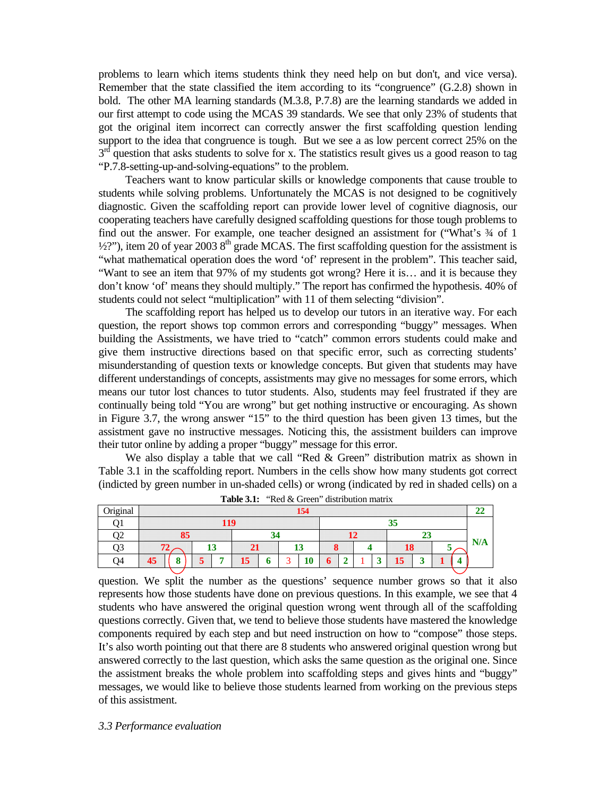problems to learn which items students think they need help on but don't, and vice versa). Remember that the state classified the item according to its "congruence" (G.2.8) shown in bold. The other MA learning standards (M.3.8, P.7.8) are the learning standards we added in our first attempt to code using the MCAS 39 standards. We see that only 23% of students that got the original item incorrect can correctly answer the first scaffolding question lending support to the idea that congruence is tough. But we see a as low percent correct 25% on the  $3<sup>rd</sup>$  question that asks students to solve for x. The statistics result gives us a good reason to tag "P.7.8-setting-up-and-solving-equations" to the problem.

 Teachers want to know particular skills or knowledge components that cause trouble to students while solving problems. Unfortunately the MCAS is not designed to be cognitively diagnostic. Given the scaffolding report can provide lower level of cognitive diagnosis, our cooperating teachers have carefully designed scaffolding questions for those tough problems to find out the answer. For example, one teacher designed an assistment for ("What's  $\frac{3}{4}$  of 1  $\frac{1}{2}$ ?"), item 20 of year 2003 8<sup>th</sup> grade MCAS. The first scaffolding question for the assistment is "what mathematical operation does the word 'of' represent in the problem". This teacher said, "Want to see an item that 97% of my students got wrong? Here it is… and it is because they don't know 'of' means they should multiply." The report has confirmed the hypothesis. 40% of students could not select "multiplication" with 11 of them selecting "division".

 The scaffolding report has helped us to develop our tutors in an iterative way. For each question, the report shows top common errors and corresponding "buggy" messages. When building the Assistments, we have tried to "catch" common errors students could make and give them instructive directions based on that specific error, such as correcting students' misunderstanding of question texts or knowledge concepts. But given that students may have different understandings of concepts, assistments may give no messages for some errors, which means our tutor lost chances to tutor students. Also, students may feel frustrated if they are continually being told "You are wrong" but get nothing instructive or encouraging. As shown in Figure 3.7, the wrong answer "15" to the third question has been given 13 times, but the assistment gave no instructive messages. Noticing this, the assistment builders can improve their tutor online by adding a proper "buggy" message for this error.

We also display a table that we call "Red  $&$  Green" distribution matrix as shown in Table 3.1 in the scaffolding report. Numbers in the cells show how many students got correct (indicted by green number in un-shaded cells) or wrong (indicated by red in shaded cells) on a

| Original |     |  |   |  |    |  |            | 154      |   |  |  |   |    |   |  |  | 44  |
|----------|-----|--|---|--|----|--|------------|----------|---|--|--|---|----|---|--|--|-----|
|          | 119 |  |   |  |    |  |            |          |   |  |  |   |    |   |  |  |     |
| ,,       | 85  |  |   |  |    |  |            |          |   |  |  |   |    |   |  |  |     |
| )3       |     |  | w |  | 21 |  |            | IJ       | О |  |  |   | 18 |   |  |  | N/A |
| - 14     |     |  |   |  | 15 |  | $\sqrt{2}$ | ın<br>10 |   |  |  | ພ | 15 | ີ |  |  |     |
|          |     |  |   |  |    |  |            |          |   |  |  |   |    |   |  |  |     |

|  |  | <b>Table 3.1:</b> "Red & Green" distribution matrix |
|--|--|-----------------------------------------------------|
|--|--|-----------------------------------------------------|

question. We split the number as the questions' sequence number grows so that it also represents how those students have done on previous questions. In this example, we see that 4 students who have answered the original question wrong went through all of the scaffolding questions correctly. Given that, we tend to believe those students have mastered the knowledge components required by each step and but need instruction on how to "compose" those steps. It's also worth pointing out that there are 8 students who answered original question wrong but answered correctly to the last question, which asks the same question as the original one. Since the assistment breaks the whole problem into scaffolding steps and gives hints and "buggy" messages, we would like to believe those students learned from working on the previous steps of this assistment.

#### *3.3 Performance evaluation*